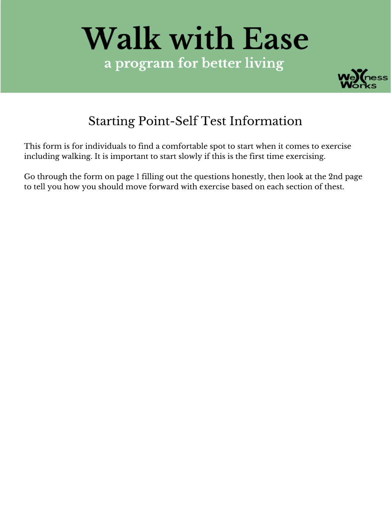# **Walk with Ease** a program for better living



## Starting Point-Self Test Information

This form is for individuals to find a comfortable spot to start when it comes to exercise including walking. It is important to start slowly if this is the first time exercising.

Go through the form on page 1 filling out the questions honestly, then look at the 2nd page to tell you how you should move forward with exercise based on each section of thest.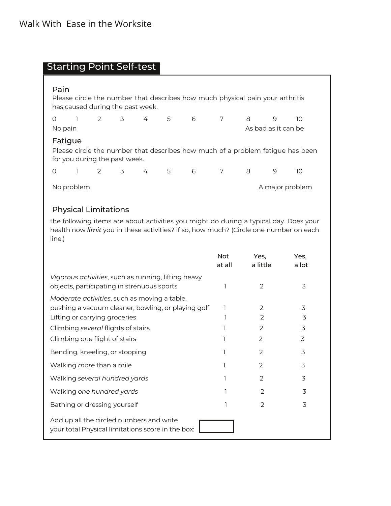### Starting Point Self-test

| Pain<br>Please circle the number that describes how much physical pain your arthritis<br>has caused during the past week.  |                |                                |             |  |     |   |   |                     |   |    |  |
|----------------------------------------------------------------------------------------------------------------------------|----------------|--------------------------------|-------------|--|-----|---|---|---------------------|---|----|--|
| O                                                                                                                          | $\overline{1}$ |                                | 2 3 4 5     |  |     | 6 | 7 | 8                   | 9 | 10 |  |
| No pain                                                                                                                    |                |                                |             |  |     |   |   | As bad as it can be |   |    |  |
| Fatigue<br>Please circle the number that describes how much of a problem fatigue has been<br>for you during the past week. |                |                                |             |  |     |   |   |                     |   |    |  |
| 0                                                                                                                          |                | $2 \left( \frac{1}{2} \right)$ | $3^{\circ}$ |  | 4 5 | 6 | 7 | 8                   | 9 | 10 |  |
| A major problem<br>No problem                                                                                              |                |                                |             |  |     |   |   |                     |   |    |  |
| <b>Physical Limitations</b>                                                                                                |                |                                |             |  |     |   |   |                     |   |    |  |

the following items are about activities you might do during a typical day. Does your health now *limit* you in these activities? if so, how much? (Circle one number on each line.)

|                                                                                                    | <b>Not</b><br>at all | Yes,<br>a little | Yes,<br>a lot |
|----------------------------------------------------------------------------------------------------|----------------------|------------------|---------------|
| Vigorous activities, such as running, lifting heavy<br>objects, participating in strenuous sports  |                      | $\mathcal{P}$    | 3             |
| Moderate activities, such as moving a table,<br>pushing a vacuum cleaner, bowling, or playing golf |                      | 2                | 3             |
| Lifting or carrying groceries                                                                      |                      | $\mathcal{P}$    | 3             |
| Climbing several flights of stairs                                                                 |                      | 2                | 3             |
| Climbing one flight of stairs                                                                      |                      | $\overline{2}$   | 3             |
| Bending, kneeling, or stooping                                                                     |                      | $\overline{2}$   | 3             |
| Walking more than a mile                                                                           |                      | $\mathcal{P}$    | 3             |
| Walking several hundred yards                                                                      |                      | $\overline{2}$   | 3             |
| Walking one hundred yards                                                                          |                      | 2                | 3             |
| Bathing or dressing yourself                                                                       |                      | $\mathcal{P}$    | 3             |
| Add up all the circled numbers and write<br>your total Physical limitations score in the box:      |                      |                  |               |